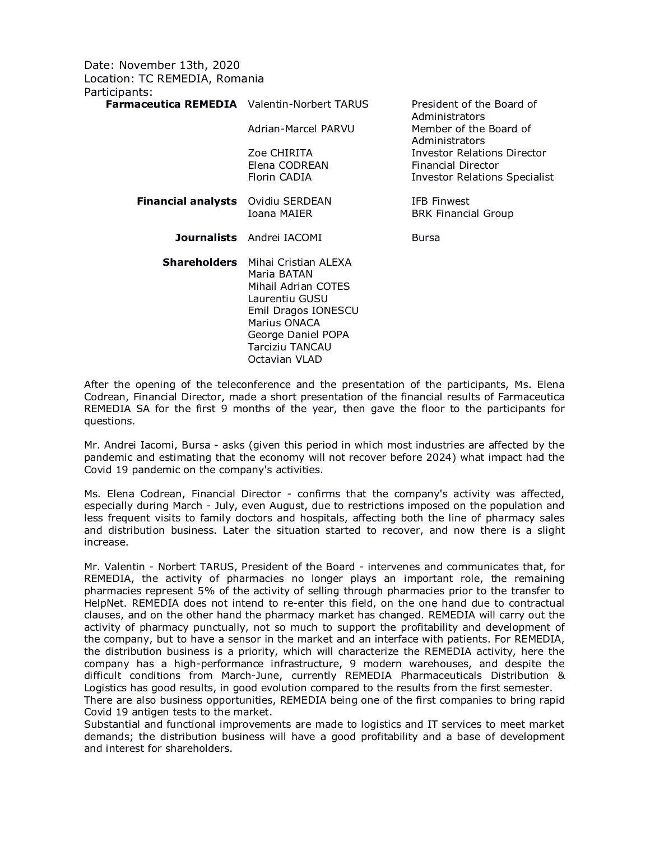Date: November 13th, 2020 Location: TC REMEDIA, Romania Participants: **Farmaceutica REMEDIA** Valentin-Norbert TARUS President of the Board of Administrators Adrian-Marcel PARVU Member of the Board of Administrators Zoe CHIRITA Investor Relations Director Elena CODREAN Financial Director Florin CADIA **Investor Relations Specialist Financial analysts** Ovidiu SERDEAN **IFB Finwest** Ioana MAIER **BRK Financial Group Journalists** Andrei IACOMI Bursa **Shareholders** Mihai Cristian ALEXA Maria BATAN Mihail Adrian COTES Laurentiu GUSU Emil Dragos IONESCU Marius ONACA George Daniel POPA Tarciziu TANCAU Octavian VLAD

After the opening of the teleconference and the presentation of the participants, Ms. Elena Codrean, Financial Director, made a short presentation of the financial results of Farmaceutica REMEDIA SA for the first 9 months of the year, then gave the floor to the participants for questions.

Mr. Andrei Iacomi, Bursa - asks (given this period in which most industries are affected by the pandemic and estimating that the economy will not recover before 2024) what impact had the Covid 19 pandemic on the company's activities.

Ms. Elena Codrean, Financial Director - confirms that the company's activity was affected, especially during March - July, even August, due to restrictions imposed on the population and less frequent visits to family doctors and hospitals, affecting both the line of pharmacy sales and distribution business. Later the situation started to recover, and now there is a slight increase.

Mr. Valentin - Norbert TARUS, President of the Board - intervenes and communicates that, for REMEDIA, the activity of pharmacies no longer plays an important role, the remaining pharmacies represent 5% of the activity of selling through pharmacies prior to the transfer to HelpNet. REMEDIA does not intend to re-enter this field, on the one hand due to contractual clauses, and on the other hand the pharmacy market has changed. REMEDIA will carry out the activity of pharmacy punctually, not so much to support the profitability and development of the company, but to have a sensor in the market and an interface with patients. For REMEDIA, the distribution business is a priority, which will characterize the REMEDIA activity, here the company has a high-performance infrastructure, 9 modern warehouses, and despite the difficult conditions from March-June, currently REMEDIA Pharmaceuticals Distribution & Logistics has good results, in good evolution compared to the results from the first semester. There are also business opportunities, REMEDIA being one of the first companies to bring rapid

Covid 19 antigen tests to the market.

Substantial and functional improvements are made to logistics and IT services to meet market demands; the distribution business will have a good profitability and a base of development and interest for shareholders.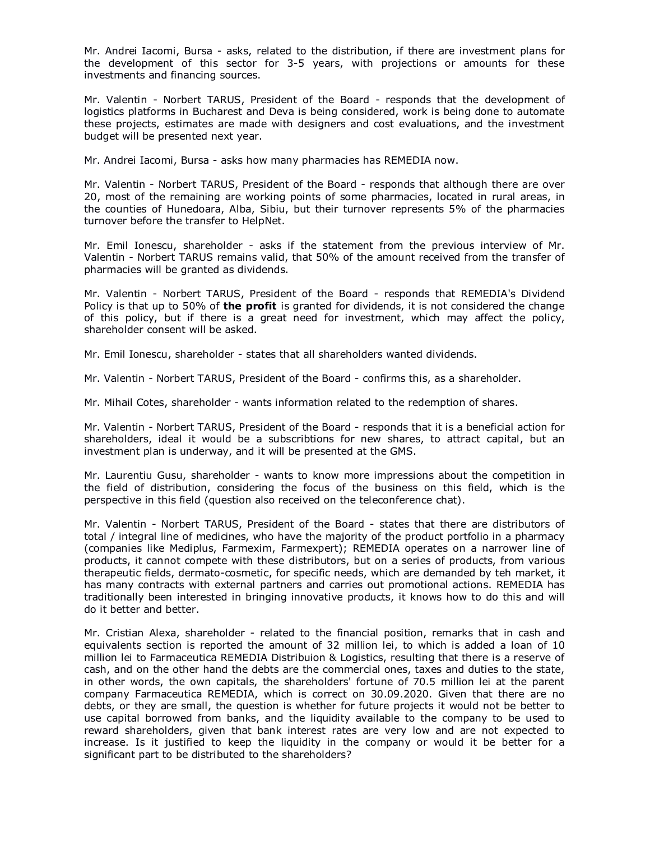Mr. Andrei Iacomi, Bursa - asks, related to the distribution, if there are investment plans for the development of this sector for 3-5 years, with projections or amounts for these investments and financing sources.

Mr. Valentin - Norbert TARUS, President of the Board - responds that the development of logistics platforms in Bucharest and Deva is being considered, work is being done to automate these projects, estimates are made with designers and cost evaluations, and the investment budget will be presented next year.

Mr. Andrei Iacomi, Bursa - asks how many pharmacies has REMEDIA now.

Mr. Valentin - Norbert TARUS, President of the Board - responds that although there are over 20, most of the remaining are working points of some pharmacies, located in rural areas, in the counties of Hunedoara, Alba, Sibiu, but their turnover represents 5% of the pharmacies turnover before the transfer to HelpNet.

Mr. Emil Ionescu, shareholder - asks if the statement from the previous interview of Mr. Valentin - Norbert TARUS remains valid, that 50% of the amount received from the transfer of pharmacies will be granted as dividends.

Mr. Valentin - Norbert TARUS, President of the Board - responds that REMEDIA's Dividend Policy is that up to 50% of **the profit** is granted for dividends, it is not considered the change of this policy, but if there is a great need for investment, which may affect the policy, shareholder consent will be asked.

Mr. Emil Ionescu, shareholder - states that all shareholders wanted dividends.

Mr. Valentin - Norbert TARUS, President of the Board - confirms this, as a shareholder.

Mr. Mihail Cotes, shareholder - wants information related to the redemption of shares.

Mr. Valentin - Norbert TARUS, President of the Board - responds that it is a beneficial action for shareholders, ideal it would be a subscribtions for new shares, to attract capital, but an investment plan is underway, and it will be presented at the GMS.

Mr. Laurentiu Gusu, shareholder - wants to know more impressions about the competition in the field of distribution, considering the focus of the business on this field, which is the perspective in this field (question also received on the teleconference chat).

Mr. Valentin - Norbert TARUS, President of the Board - states that there are distributors of total / integral line of medicines, who have the majority of the product portfolio in a pharmacy (companies like Mediplus, Farmexim, Farmexpert); REMEDIA operates on a narrower line of products, it cannot compete with these distributors, but on a series of products, from various therapeutic fields, dermato-cosmetic, for specific needs, which are demanded by teh market, it has many contracts with external partners and carries out promotional actions. REMEDIA has traditionally been interested in bringing innovative products, it knows how to do this and will do it better and better.

Mr. Cristian Alexa, shareholder - related to the financial position, remarks that in cash and equivalents section is reported the amount of 32 million lei, to which is added a loan of 10 million lei to Farmaceutica REMEDIA Distribuion & Logistics, resulting that there is a reserve of cash, and on the other hand the debts are the commercial ones, taxes and duties to the state, in other words, the own capitals, the shareholders' fortune of 70.5 million lei at the parent company Farmaceutica REMEDIA, which is correct on 30.09.2020. Given that there are no debts, or they are small, the question is whether for future projects it would not be better to use capital borrowed from banks, and the liquidity available to the company to be used to reward shareholders, given that bank interest rates are very low and are not expected to increase. Is it justified to keep the liquidity in the company or would it be better for a significant part to be distributed to the shareholders?